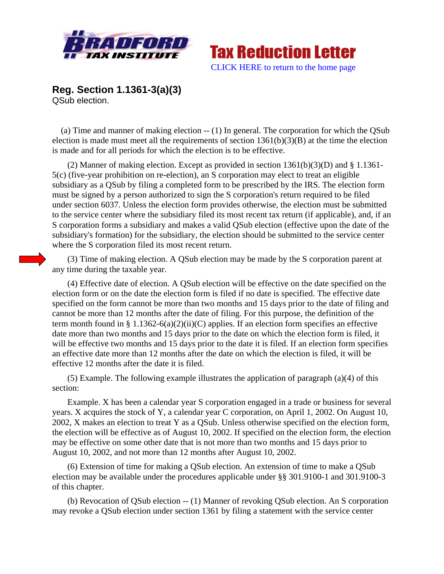



**Reg. Section 1.1361-3(a)(3)**  QSub election.

 (a) Time and manner of making election -- (1) In general. The corporation for which the QSub election is made must meet all the requirements of section 1361(b)(3)(B) at the time the election is made and for all periods for which the election is to be effective.

 (2) Manner of making election. Except as provided in section 1361(b)(3)(D) and § 1.1361- 5(c) (five-year prohibition on re-election), an S corporation may elect to treat an eligible subsidiary as a QSub by filing a completed form to be prescribed by the IRS. The election form must be signed by a person authorized to sign the S corporation's return required to be filed under section 6037*.* Unless the election form provides otherwise, the election must be submitted to the service center where the subsidiary filed its most recent tax return (if applicable), and, if an S corporation forms a subsidiary and makes a valid QSub election (effective upon the date of the subsidiary's formation) for the subsidiary, the election should be submitted to the service center where the S corporation filed its most recent return.

 (3) Time of making election. A QSub election may be made by the S corporation parent at any time during the taxable year.

 (4) Effective date of election. A QSub election will be effective on the date specified on the election form or on the date the election form is filed if no date is specified. The effective date specified on the form cannot be more than two months and 15 days prior to the date of filing and cannot be more than 12 months after the date of filing. For this purpose, the definition of the term month found in § 1.1362-6(a)(2)(ii)(C) applies. If an election form specifies an effective date more than two months and 15 days prior to the date on which the election form is filed, it will be effective two months and 15 days prior to the date it is filed. If an election form specifies an effective date more than 12 months after the date on which the election is filed, it will be effective 12 months after the date it is filed.

 (5) Example. The following example illustrates the application of paragraph (a)(4) of this section:

 Example. X has been a calendar year S corporation engaged in a trade or business for several years. X acquires the stock of Y, a calendar year C corporation, on April 1, 2002. On August 10, 2002, X makes an election to treat Y as a QSub. Unless otherwise specified on the election form, the election will be effective as of August 10, 2002. If specified on the election form, the election may be effective on some other date that is not more than two months and 15 days prior to August 10, 2002, and not more than 12 months after August 10, 2002.

 (6) Extension of time for making a QSub election. An extension of time to make a QSub election may be available under the procedures applicable under §§ 301.9100-1 and 301.9100-3 of this chapter.

 (b) Revocation of QSub election -- (1) Manner of revoking QSub election. An S corporation may revoke a QSub election under section 1361 by filing a statement with the service center